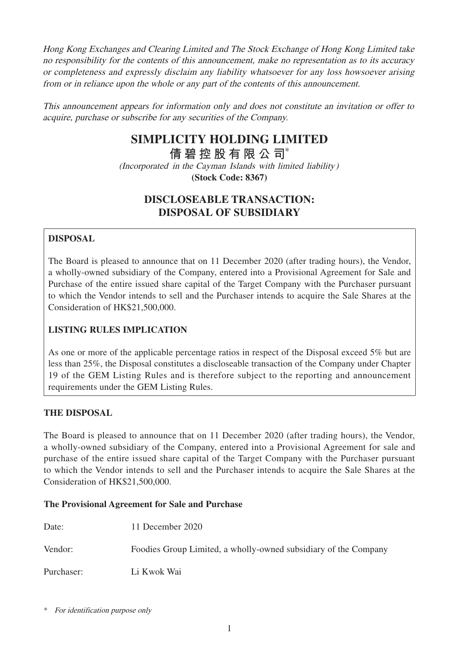Hong Kong Exchanges and Clearing Limited and The Stock Exchange of Hong Kong Limited take no responsibility for the contents of this announcement, make no representation as to its accuracy or completeness and expressly disclaim any liability whatsoever for any loss howsoever arising from or in reliance upon the whole or any part of the contents of this announcement.

This announcement appears for information only and does not constitute an invitation or offer to acquire, purchase or subscribe for any securities of the Company.

# **SIMPLICITY HOLDING LIMITED**

**倩碧控股有限公 司**\*

(Incorporated in the Cayman Islands with limited liability) **(Stock Code: 8367)**

# **DISCLOSEABLE TRANSACTION: DISPOSAL OF SUBSIDIARY**

# **DISPOSAL**

The Board is pleased to announce that on 11 December 2020 (after trading hours), the Vendor, a wholly-owned subsidiary of the Company, entered into a Provisional Agreement for Sale and Purchase of the entire issued share capital of the Target Company with the Purchaser pursuant to which the Vendor intends to sell and the Purchaser intends to acquire the Sale Shares at the Consideration of HK\$21,500,000.

# **LISTING RULES IMPLICATION**

As one or more of the applicable percentage ratios in respect of the Disposal exceed 5% but are less than 25%, the Disposal constitutes a discloseable transaction of the Company under Chapter 19 of the GEM Listing Rules and is therefore subject to the reporting and announcement requirements under the GEM Listing Rules.

## **THE DISPOSAL**

The Board is pleased to announce that on 11 December 2020 (after trading hours), the Vendor, a wholly-owned subsidiary of the Company, entered into a Provisional Agreement for sale and purchase of the entire issued share capital of the Target Company with the Purchaser pursuant to which the Vendor intends to sell and the Purchaser intends to acquire the Sale Shares at the Consideration of HK\$21,500,000.

## **The Provisional Agreement for Sale and Purchase**

| Date:      | 11 December 2020                                                |
|------------|-----------------------------------------------------------------|
| Vendor:    | Foodies Group Limited, a wholly-owned subsidiary of the Company |
| Purchaser: | Li Kwok Wai                                                     |

\* For identification purpose only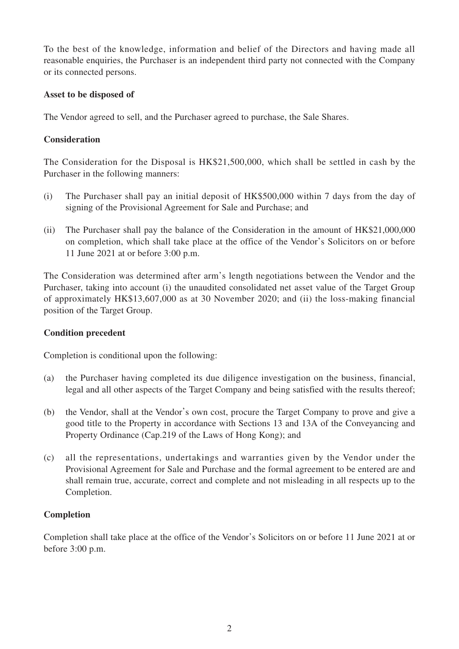To the best of the knowledge, information and belief of the Directors and having made all reasonable enquiries, the Purchaser is an independent third party not connected with the Company or its connected persons.

#### **Asset to be disposed of**

The Vendor agreed to sell, and the Purchaser agreed to purchase, the Sale Shares.

### **Consideration**

The Consideration for the Disposal is HK\$21,500,000, which shall be settled in cash by the Purchaser in the following manners:

- (i) The Purchaser shall pay an initial deposit of HK\$500,000 within 7 days from the day of signing of the Provisional Agreement for Sale and Purchase; and
- (ii) The Purchaser shall pay the balance of the Consideration in the amount of HK\$21,000,000 on completion, which shall take place at the office of the Vendor's Solicitors on or before 11 June 2021 at or before 3:00 p.m.

The Consideration was determined after arm's length negotiations between the Vendor and the Purchaser, taking into account (i) the unaudited consolidated net asset value of the Target Group of approximately HK\$13,607,000 as at 30 November 2020; and (ii) the loss-making financial position of the Target Group.

#### **Condition precedent**

Completion is conditional upon the following:

- (a) the Purchaser having completed its due diligence investigation on the business, financial, legal and all other aspects of the Target Company and being satisfied with the results thereof;
- (b) the Vendor, shall at the Vendor's own cost, procure the Target Company to prove and give a good title to the Property in accordance with Sections 13 and 13A of the Conveyancing and Property Ordinance (Cap.219 of the Laws of Hong Kong); and
- (c) all the representations, undertakings and warranties given by the Vendor under the Provisional Agreement for Sale and Purchase and the formal agreement to be entered are and shall remain true, accurate, correct and complete and not misleading in all respects up to the Completion.

## **Completion**

Completion shall take place at the office of the Vendor's Solicitors on or before 11 June 2021 at or before 3:00 p.m.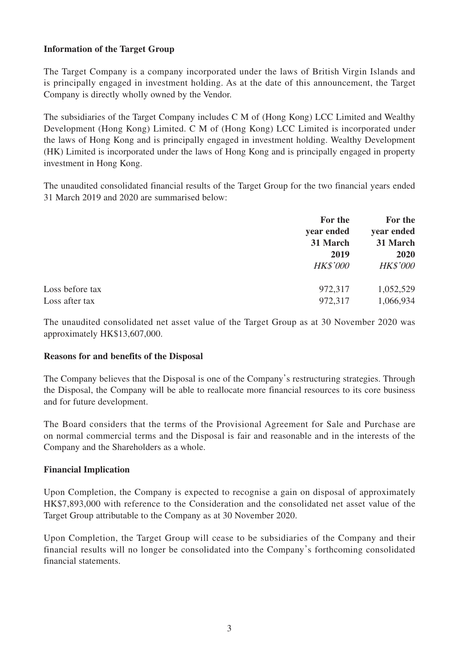#### **Information of the Target Group**

The Target Company is a company incorporated under the laws of British Virgin Islands and is principally engaged in investment holding. As at the date of this announcement, the Target Company is directly wholly owned by the Vendor.

The subsidiaries of the Target Company includes C M of (Hong Kong) LCC Limited and Wealthy Development (Hong Kong) Limited. C M of (Hong Kong) LCC Limited is incorporated under the laws of Hong Kong and is principally engaged in investment holding. Wealthy Development (HK) Limited is incorporated under the laws of Hong Kong and is principally engaged in property investment in Hong Kong.

The unaudited consolidated financial results of the Target Group for the two financial years ended 31 March 2019 and 2020 are summarised below:

|                 | For the         | For the<br>year ended<br>31 March<br>2020 |
|-----------------|-----------------|-------------------------------------------|
|                 | year ended      |                                           |
|                 | 31 March        |                                           |
|                 | 2019            |                                           |
|                 | <b>HK\$'000</b> | <b>HK\$'000</b>                           |
| Loss before tax | 972,317         | 1,052,529                                 |
| Loss after tax  | 972,317         | 1,066,934                                 |
|                 |                 |                                           |

The unaudited consolidated net asset value of the Target Group as at 30 November 2020 was approximately HK\$13,607,000.

#### **Reasons for and benefits of the Disposal**

The Company believes that the Disposal is one of the Company's restructuring strategies. Through the Disposal, the Company will be able to reallocate more financial resources to its core business and for future development.

The Board considers that the terms of the Provisional Agreement for Sale and Purchase are on normal commercial terms and the Disposal is fair and reasonable and in the interests of the Company and the Shareholders as a whole.

#### **Financial Implication**

Upon Completion, the Company is expected to recognise a gain on disposal of approximately HK\$7,893,000 with reference to the Consideration and the consolidated net asset value of the Target Group attributable to the Company as at 30 November 2020.

Upon Completion, the Target Group will cease to be subsidiaries of the Company and their financial results will no longer be consolidated into the Company's forthcoming consolidated financial statements.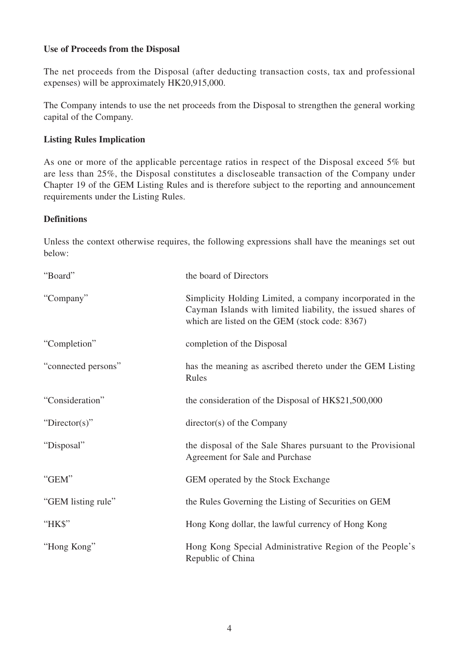#### **Use of Proceeds from the Disposal**

The net proceeds from the Disposal (after deducting transaction costs, tax and professional expenses) will be approximately HK20,915,000.

The Company intends to use the net proceeds from the Disposal to strengthen the general working capital of the Company.

#### **Listing Rules Implication**

As one or more of the applicable percentage ratios in respect of the Disposal exceed 5% but are less than 25%, the Disposal constitutes a discloseable transaction of the Company under Chapter 19 of the GEM Listing Rules and is therefore subject to the reporting and announcement requirements under the Listing Rules.

#### **Definitions**

Unless the context otherwise requires, the following expressions shall have the meanings set out below:

| "Board"             | the board of Directors                                                                                                                                                     |
|---------------------|----------------------------------------------------------------------------------------------------------------------------------------------------------------------------|
| "Company"           | Simplicity Holding Limited, a company incorporated in the<br>Cayman Islands with limited liability, the issued shares of<br>which are listed on the GEM (stock code: 8367) |
| "Completion"        | completion of the Disposal                                                                                                                                                 |
| "connected persons" | has the meaning as ascribed thereto under the GEM Listing<br>Rules                                                                                                         |
| "Consideration"     | the consideration of the Disposal of HK\$21,500,000                                                                                                                        |
| "Director(s)"       | director(s) of the Company                                                                                                                                                 |
| "Disposal"          | the disposal of the Sale Shares pursuant to the Provisional<br>Agreement for Sale and Purchase                                                                             |
| "GEM"               | GEM operated by the Stock Exchange                                                                                                                                         |
| "GEM listing rule"  | the Rules Governing the Listing of Securities on GEM                                                                                                                       |
| "HK\$"              | Hong Kong dollar, the lawful currency of Hong Kong                                                                                                                         |
| "Hong Kong"         | Hong Kong Special Administrative Region of the People's<br>Republic of China                                                                                               |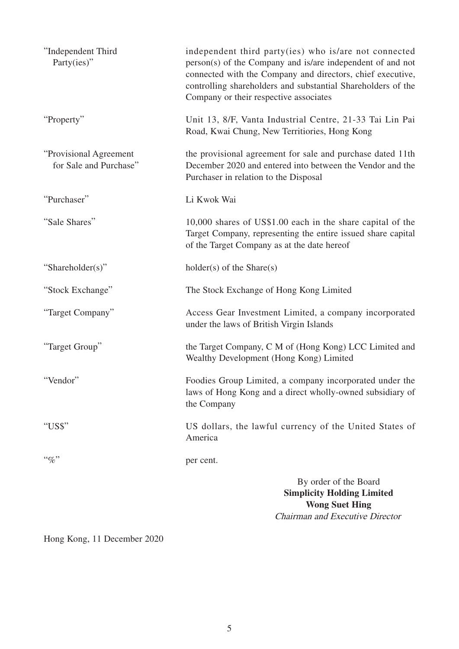| "Independent Third<br>Party(ies)"                 | independent third party(ies) who is/are not connected<br>person(s) of the Company and is/are independent of and not<br>connected with the Company and directors, chief executive,<br>controlling shareholders and substantial Shareholders of the<br>Company or their respective associates |
|---------------------------------------------------|---------------------------------------------------------------------------------------------------------------------------------------------------------------------------------------------------------------------------------------------------------------------------------------------|
| "Property"                                        | Unit 13, 8/F, Vanta Industrial Centre, 21-33 Tai Lin Pai<br>Road, Kwai Chung, New Territiories, Hong Kong                                                                                                                                                                                   |
| "Provisional Agreement"<br>for Sale and Purchase" | the provisional agreement for sale and purchase dated 11th<br>December 2020 and entered into between the Vendor and the<br>Purchaser in relation to the Disposal                                                                                                                            |
| "Purchaser"                                       | Li Kwok Wai                                                                                                                                                                                                                                                                                 |
| "Sale Shares"                                     | 10,000 shares of US\$1.00 each in the share capital of the<br>Target Company, representing the entire issued share capital<br>of the Target Company as at the date hereof                                                                                                                   |
| "Shareholder(s)"                                  | $holder(s)$ of the Share $(s)$                                                                                                                                                                                                                                                              |
| "Stock Exchange"                                  | The Stock Exchange of Hong Kong Limited                                                                                                                                                                                                                                                     |
| "Target Company"                                  | Access Gear Investment Limited, a company incorporated<br>under the laws of British Virgin Islands                                                                                                                                                                                          |
| "Target Group"                                    | the Target Company, C M of (Hong Kong) LCC Limited and<br>Wealthy Development (Hong Kong) Limited                                                                                                                                                                                           |
| "Vendor"                                          | Foodies Group Limited, a company incorporated under the<br>laws of Hong Kong and a direct wholly-owned subsidiary of<br>the Company                                                                                                                                                         |
| "US\$"                                            | US dollars, the lawful currency of the United States of<br>America                                                                                                                                                                                                                          |
| $``\%"$                                           | per cent.                                                                                                                                                                                                                                                                                   |
|                                                   | By order of the Board<br><b>Simplicity Holding Limited</b><br><b>Wong Suet Hing</b><br>Chairman and Executive Director                                                                                                                                                                      |

Hong Kong, 11 December 2020